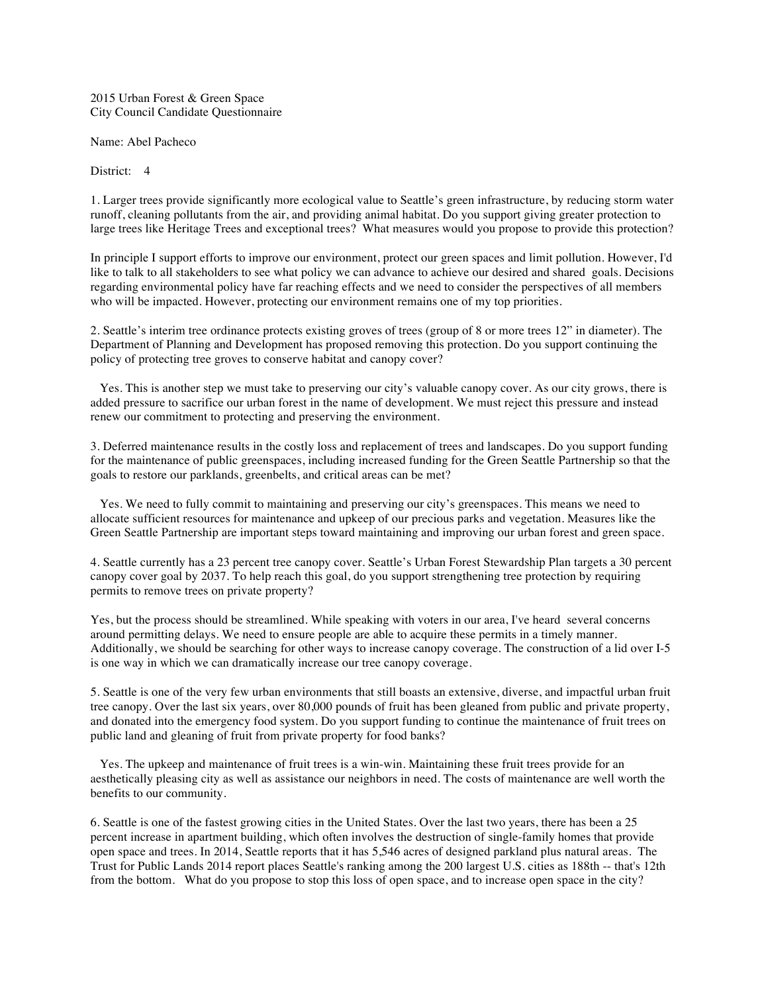2015 Urban Forest & Green Space City Council Candidate Questionnaire

Name: Abel Pacheco

District: 4

1. Larger trees provide significantly more ecological value to Seattle's green infrastructure, by reducing storm water runoff, cleaning pollutants from the air, and providing animal habitat. Do you support giving greater protection to large trees like Heritage Trees and exceptional trees? What measures would you propose to provide this protection?

In principle I support efforts to improve our environment, protect our green spaces and limit pollution. However, I'd like to talk to all stakeholders to see what policy we can advance to achieve our desired and shared goals. Decisions regarding environmental policy have far reaching effects and we need to consider the perspectives of all members who will be impacted. However, protecting our environment remains one of my top priorities.

2. Seattle's interim tree ordinance protects existing groves of trees (group of 8 or more trees 12" in diameter). The Department of Planning and Development has proposed removing this protection. Do you support continuing the policy of protecting tree groves to conserve habitat and canopy cover?

Yes. This is another step we must take to preserving our city's valuable canopy cover. As our city grows, there is added pressure to sacrifice our urban forest in the name of development. We must reject this pressure and instead renew our commitment to protecting and preserving the environment.

3. Deferred maintenance results in the costly loss and replacement of trees and landscapes. Do you support funding for the maintenance of public greenspaces, including increased funding for the Green Seattle Partnership so that the goals to restore our parklands, greenbelts, and critical areas can be met?

Yes. We need to fully commit to maintaining and preserving our city's greenspaces. This means we need to allocate sufficient resources for maintenance and upkeep of our precious parks and vegetation. Measures like the Green Seattle Partnership are important steps toward maintaining and improving our urban forest and green space.

4. Seattle currently has a 23 percent tree canopy cover. Seattle's Urban Forest Stewardship Plan targets a 30 percent canopy cover goal by 2037. To help reach this goal, do you support strengthening tree protection by requiring permits to remove trees on private property?

Yes, but the process should be streamlined. While speaking with voters in our area, I've heard several concerns around permitting delays. We need to ensure people are able to acquire these permits in a timely manner. Additionally, we should be searching for other ways to increase canopy coverage. The construction of a lid over I-5 is one way in which we can dramatically increase our tree canopy coverage.

5. Seattle is one of the very few urban environments that still boasts an extensive, diverse, and impactful urban fruit tree canopy. Over the last six years, over 80,000 pounds of fruit has been gleaned from public and private property, and donated into the emergency food system. Do you support funding to continue the maintenance of fruit trees on public land and gleaning of fruit from private property for food banks?

Yes. The upkeep and maintenance of fruit trees is a win-win. Maintaining these fruit trees provide for an aesthetically pleasing city as well as assistance our neighbors in need. The costs of maintenance are well worth the benefits to our community.

6. Seattle is one of the fastest growing cities in the United States. Over the last two years, there has been a 25 percent increase in apartment building, which often involves the destruction of single-family homes that provide open space and trees. In 2014, Seattle reports that it has 5,546 acres of designed parkland plus natural areas. The Trust for Public Lands 2014 report places Seattle's ranking among the 200 largest U.S. cities as 188th -- that's 12th from the bottom. What do you propose to stop this loss of open space, and to increase open space in the city?